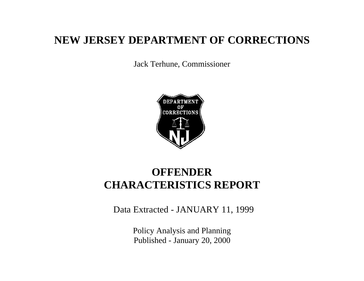# **NEW JERSEY DEPARTMENT OF CORRECTIONS**

Jack Terhune, Commissioner



# **OFFENDER CHARACTERISTICS REPORT**

Data Extracted - JANUARY 11, 1999

Policy Analysis and Planning Published - January 20, 2000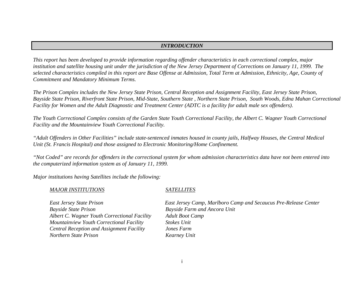### *INTRODUCTION*

*This report has been developed to provide information regarding offender characteristics in each correctional complex, major institution and satellite housing unit under the jurisdiction of the New Jersey Department of Corrections on January 11, 1999. The selected characteristics compiled in this report are Base Offense at Admission, Total Term at Admission, Ethnicity, Age, County of Commitment and Mandatory Minimum Terms.*

*The Prison Complex includes the New Jersey State Prison, Central Reception and Assignment Facility, East Jersey State Prison, Bayside State Prison, Riverfront State Prison, Mid-State, Southern State , Northern State Prison, South Woods, Edna Mahan Correctional Facility for Women and the Adult Diagnostic and Treatment Center (ADTC is a facility for adult male sex offenders).*

*The Youth Correctional Complex consists of the Garden State Youth Correctional Facility, the Albert C. Wagner Youth Correctional Facility and the Mountainview Youth Correctional Facility.*

*"Adult Offenders in Other Facilities" include state-sentenced inmates housed in county jails, Halfway Houses, the Central Medical Unit (St. Francis Hospital) and those assigned to Electronic Monitoring/Home Confinement.*

*"Not Coded" are records for offenders in the correctional system for whom admission characteristics data have not been entered into the computerized information system as of January 11, 1999.*

*Major institutions having Satellites include the following:*

#### *MAJOR INSTITUTIONS SATELLITES*

*Bayside State Prison Bayside Farm and Ancora Unit Albert C. Wagner Youth Correctional Facility Adult Boot Camp Mountainview Youth Correctional Facility Stokes Unit Central Reception and Assignment Facility Jones Farm Northern State Prison Kearney Unit*

*East Jersey State Prison East Jersey Camp, Marlboro Camp and Secaucus Pre-Release Center*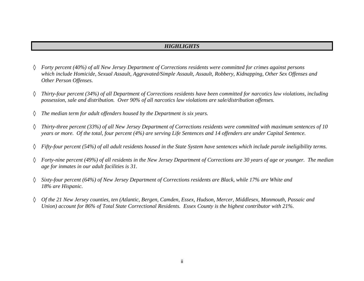#### *HIGHLIGHTS*

- ◊ *Forty percent (40%) of all New Jersey Department of Corrections residents were committed for crimes against persons which include Homicide, Sexual Assault, Aggravated/Simple Assault, Assault, Robbery, Kidnapping, Other Sex Offenses and Other Person Offenses.*
- ◊ *Thirty-four percent (34%) of all Department of Corrections residents have been committed for narcotics law violations, including possession, sale and distribution. Over 90% of all narcotics law violations are sale/distribution offenses.*
- ◊ *The median term for adult offenders housed by the Department is six years.*
- ◊ *Thirty-three percent (33%) of all New Jersey Department of Corrections residents were committed with maximum sentences of 10 years or more. Of the total, four percent (4%) are serving Life Sentences and 14 offenders are under Capital Sentence.*
- ◊ *Fifty-four percent (54%) of all adult residents housed in the State System have sentences which include parole ineligibility terms.*
- ◊ *Forty-nine percent (49%) of all residents in the New Jersey Department of Corrections are 30 years of age or younger. The median age for inmates in our adult facilities is 31.*
- ◊ *Sixty-four percent (64%) of New Jersey Department of Corrections residents are Black, while 17% are White and 18% are Hispanic.*
- ◊ *Of the 21 New Jersey counties, ten (Atlantic, Bergen, Camden, Essex, Hudson, Mercer, Middlesex, Monmouth, Passaic and Union) account for 86% of Total State Correctional Residents. Essex County is the highest contributor with 21%.*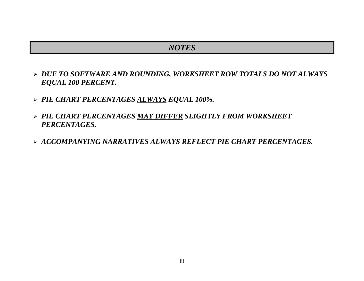# *NOTES*

- ÿ *DUE TO SOFTWARE AND ROUNDING, WORKSHEET ROW TOTALS DO NOT ALWAYS EQUAL 100 PERCENT.*
- ÿ *PIE CHART PERCENTAGES ALWAYS EQUAL 100%.*
- ÿ *PIE CHART PERCENTAGES MAY DIFFER SLIGHTLY FROM WORKSHEET PERCENTAGES.*
- ÿ *ACCOMPANYING NARRATIVES ALWAYS REFLECT PIE CHART PERCENTAGES.*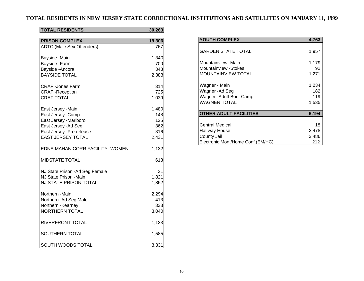## **TOTAL RESIDENTS IN NEW JERSEY STATE CORRECTIONAL INSTITUTIONS AND SATELLITES ON JANUARY 11, 1999**

### **TOTAL RESIDENTS 30,263**

| <b>PRISON COMPLEX</b>                                                                                                                              | 19,306                                     |
|----------------------------------------------------------------------------------------------------------------------------------------------------|--------------------------------------------|
| <b>ADTC (Male Sex Offenders)</b>                                                                                                                   | 767                                        |
| Bayside -Main<br>Bayside - Farm<br>Bayside - Ancora<br><b>BAYSIDE TOTAL</b>                                                                        | 1,340<br>700<br>343<br>2,383               |
| <b>CRAF</b> - Jones Farm<br><b>CRAF</b> - Reception<br><b>CRAF TOTAL</b>                                                                           | 314<br>725<br>1,039                        |
| East Jersey - Main<br>East Jersey - Camp<br>East Jersey -Marlboro<br>East Jersey - Ad Seg<br>East Jersey - Pre-release<br><b>EAST JERSEY TOTAL</b> | 1,480<br>148<br>125<br>362<br>316<br>2,431 |
| EDNA MAHAN CORR FACILITY- WOMEN                                                                                                                    | 1,132                                      |
| <b>MIDSTATE TOTAL</b>                                                                                                                              | 613                                        |
| NJ State Prison - Ad Seg Female<br>NJ State Prison -Main<br><b>NJ STATE PRISON TOTAL</b>                                                           | 31<br>1,821<br>1,852                       |
| Northern -Main<br>Northern - Ad Seg Male<br>Northern - Kearney<br><b>NORTHERN TOTAL</b>                                                            | 2,294<br>413<br>333<br>3,040               |
| RIVERFRONT TOTAL                                                                                                                                   | 1,133                                      |
| SOUTHERN TOTAL                                                                                                                                     | 1,585                                      |
| SOUTH WOODS TOTAL                                                                                                                                  | 3,331                                      |

| <b>YOUTH COMPLEX</b>              | 4,763 |
|-----------------------------------|-------|
| <b>GARDEN STATE TOTAL</b>         | 1,957 |
| Mountainview -Main                | 1,179 |
| Mountainview -Stokes              | 92    |
| <b>MOUNTAINVIEW TOTAL</b>         | 1,271 |
| Wagner - Main                     | 1,234 |
| Wagner-Ad Seg                     | 182   |
| Wagner - Adult Boot Camp          | 119   |
| <b>WAGNER TOTAL</b>               | 1,535 |
| <b>OTHER ADULT FACILITIES</b>     | 6,194 |
| <b>Central Medical</b>            | 18    |
| <b>Halfway House</b>              | 2,478 |
| County Jail                       | 3,486 |
| Electronic Mon./Home Conf.(EM/HC) | 212   |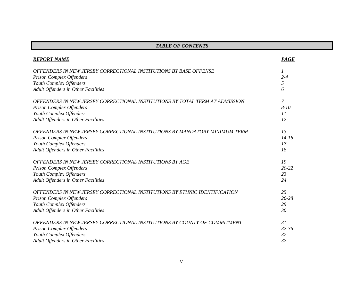| <b>TABLE OF CONTENTS</b>                                                     |             |
|------------------------------------------------------------------------------|-------------|
| <b>REPORT NAME</b>                                                           | <b>PAGE</b> |
| OFFENDERS IN NEW JERSEY CORRECTIONAL INSTITUTIONS BY BASE OFFENSE            | 1           |
| Prison Complex Offenders                                                     | $2 - 4$     |
| Youth Complex Offenders                                                      | 5           |
| Adult Offenders in Other Facilities                                          | 6           |
| OFFENDERS IN NEW JERSEY CORRECTIONAL INSTITUTIONS BY TOTAL TERM AT ADMISSION | 7           |
| <b>Prison Complex Offenders</b>                                              | $8 - 10$    |
| Youth Complex Offenders                                                      | 11          |
| Adult Offenders in Other Facilities                                          | 12          |
| OFFENDERS IN NEW JERSEY CORRECTIONAL INSTITUTIONS BY MANDATORY MINIMUM TERM  | 13          |
| <b>Prison Complex Offenders</b>                                              | $14 - 16$   |
| Youth Complex Offenders                                                      | 17          |
| Adult Offenders in Other Facilities                                          | 18          |
| OFFENDERS IN NEW JERSEY CORRECTIONAL INSTITUTIONS BY AGE                     | 19          |
| <b>Prison Complex Offenders</b>                                              | $20 - 22$   |
| Youth Complex Offenders                                                      | 23          |
| Adult Offenders in Other Facilities                                          | 24          |
| OFFENDERS IN NEW JERSEY CORRECTIONAL INSTITUTIONS BY ETHNIC IDENTIFICATION   | 25          |
| <b>Prison Complex Offenders</b>                                              | $26 - 28$   |
| Youth Complex Offenders                                                      | 29          |
| Adult Offenders in Other Facilities                                          | 30          |
| OFFENDERS IN NEW JERSEY CORRECTIONAL INSTITUTIONS BY COUNTY OF COMMITMENT    | 31          |
| <b>Prison Complex Offenders</b>                                              | $32 - 36$   |
| Youth Complex Offenders                                                      | 37          |
| Adult Offenders in Other Facilities                                          | 37          |

#### v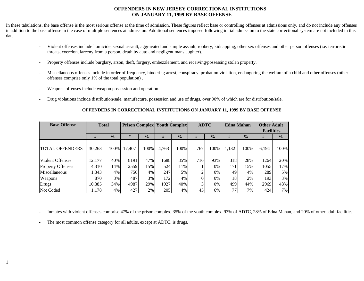#### **OFFENDERS IN NEW JERSEY CORRECTIONAL INSTITUTIONS ON JANUARY 11, 1999 BY BASE OFFENSE**

In these tabulations, the base offense is the most serious offense at the time of admission. These figures reflect base or controlling offenses at admissions only, and do not include any offenses in addition to the base offense in the case of multiple sentences at admission. Additional sentences imposed following initial admission to the state correctional system are not included in this data.

- Violent offenses include homicide, sexual assault, aggravated and simple assault, robbery, kidnapping, other sex offenses and other person offenses (i.e. terroristic threats, coercion, larceny from a person, death by auto and negligent manslaughter).
- Property offenses include burglary, arson, theft, forgery, embezzlement, and receiving/possessing stolen property.
- Miscellaneous offenses include in order of frequency, hindering arrest, conspiracy, probation violation, endangering the welfare of a child and other offenses (other offenses comprise only 1% of the total population) .
- Weapons offenses include weapon possession and operation.
- Drug violations include distribution/sale, manufacture, possession and use of drugs, over 90% of which are for distribution/sale.

#### **OFFENDERS IN CORRECTIONAL INSTITUTIONS ON JANUARY 11, 1999 BY BASE OFFENSE**

| <b>Base Offense</b>      | <b>Total</b> |               | <b>Prison Complex   Youth Complex</b> |               |       |               | <b>ADTC</b><br><b>Edna Mahan</b><br><b>Other Adult</b> |               |       |               |                   |               |
|--------------------------|--------------|---------------|---------------------------------------|---------------|-------|---------------|--------------------------------------------------------|---------------|-------|---------------|-------------------|---------------|
|                          |              |               |                                       |               |       |               |                                                        |               |       |               | <b>Facilities</b> |               |
|                          | #            | $\frac{0}{0}$ | #                                     | $\frac{0}{0}$ | #     | $\frac{0}{0}$ | #                                                      | $\frac{1}{2}$ | #     | $\frac{0}{0}$ | #                 | $\frac{0}{0}$ |
| <b>TOTAL OFFENDERS</b>   | 30,263       | 100%          | 17,407                                | 100%          | 4,763 | 100%          | 767                                                    | 100%          | 1,132 | 100%          | 6,194             | 100%          |
| <b>Violent Offenses</b>  | 12,177       | 40%           | 8191                                  | 47%           | 1688  | 35%           | 716                                                    | 93%           | 318   | 28%           | 1264              | 20%           |
| <b>Property Offenses</b> | 4,310        | 14%           | 2559                                  | 15%           | 524   | 11%           |                                                        | 0%            | 171   | 15%           | 1055              | 17%           |
| Miscellaneous            | 1,343        | $4\%$         | 756                                   | 4%            | 247   | 5%            | ◠                                                      | 0%            | 49    | 4%            | 289               | 5%            |
| Weapons                  | 870          | 3%            | 487                                   | 3%            | 172   | 4%            |                                                        | 0%            | 18    | 2%            | 193               | 3%            |
| Drugs                    | 10,385       | 34%           | 4987                                  | 29%           | 1927  | 40%           | $\sim$                                                 | 0%            | 499   | 44%           | 2969              | 48%           |
| Not Coded                | 1,178        | 4%            | 427                                   | 2%            | 205   | 4%            | 45                                                     | 6%            | 77    | 7%            | 424               | 7%            |

- Inmates with violent offenses comprise 47% of the prison complex, 35% of the youth complex, 93% of ADTC, 28% of Edna Mahan, and 20% of other adult facilities.

The most common offense category for all adults, except at ADTC, is drugs.

1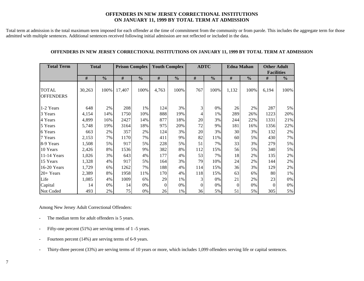#### **OFFENDERS IN NEW JERSEY CORRECTIONAL INSTITUTIONS ON JANUARY 11, 1999 BY TOTAL TERM AT ADMISSION**

Total term at admission is the total maximum term imposed for each offender at the time of commitment from the community or from parole. This includes the aggregate term for those admitted with multiple sentences. Additional sentences received following initial admission are not reflected or included in the data.

#### **OFFENDERS IN NEW JERSEY CORRECTIONAL INSTITUTIONS ON JANUARY 11, 1999 BY TOTAL TERM AT ADMISSION**

| <b>Total Term</b>                | <b>Total</b> |               | <b>Prison Complex</b> |               | <b>Youth Complex</b> |               | <b>ADTC</b> |               | <b>Edna Mahan</b> |               | <b>Other Adult</b> |               |
|----------------------------------|--------------|---------------|-----------------------|---------------|----------------------|---------------|-------------|---------------|-------------------|---------------|--------------------|---------------|
|                                  |              |               |                       |               |                      |               |             |               |                   |               | <b>Facilities</b>  |               |
|                                  | #            | $\frac{0}{0}$ | #                     | $\frac{0}{0}$ | #                    | $\frac{0}{0}$ | #           | $\frac{0}{0}$ | #                 | $\frac{0}{0}$ | #                  | $\frac{0}{0}$ |
| <b>TOTAL</b><br><b>OFFENDERS</b> | 30,263       | 100%          | 17,407                | 100%          | 4,763                | 100%          | 767         | 100%          | 1,132             | 100%          | 6,194              | 100%          |
| 1-2 Years                        | 648          | 2%            | 208                   | 1%            | 124                  | 3%            | 3           | 0%            | 26                | 2%            | 287                | 5%            |
| 3 Years                          | 4,154        | 14%           | 1750                  | 10%           | 888                  | 19%           | 4           | 1%            | 289               | 26%           | 1223               | 20%           |
| 4 Years                          | 4,899        | 16%           | 2427                  | 14%           | 877                  | 18%           | 20          | 3%            | 244               | 22%           | 1331               | 21%           |
| 5 Years                          | 5,748        | 19%           | 3164                  | 18%           | 975                  | 20%           | 72          | 9%            | 181               | 16%           | 1356               | 22%           |
| 6 Years                          | 663          | 2%            | 357                   | 2%            | 124                  | 3%            | 20          | 3%            | 30                | 3%            | 132                | 2%            |
| 7 Years                          | 2,153        | 7%            | 1170                  | 7%            | 411                  | 9%            | 82          | 11%           | 60                | 5%            | 430                | 7%            |
| 8-9 Years                        | 1,508        | 5%            | 917                   | 5%            | 228                  | 5%            | 51          | 7%            | 33                | 3%            | 279                | 5%            |
| 10 Years                         | 2,426        | 8%            | 1536                  | 9%            | 382                  | 8%            | 112         | 15%           | 56                | 5%            | 340                | 5%            |
| 11-14 Years                      | 1,026        | 3%            | 643                   | 4%            | 177                  | 4%            | 53          | 7%            | 18                | 2%            | 135                | 2%            |
| 15 Years                         | 1,328        | 4%            | 917                   | 5%            | 164                  | 3%            | 79          | 10%           | 24                | 2%            | 144                | 2%            |
| 16-20 Years                      | 1,729        | 6%            | 1262                  | 7%            | 188                  | 4%            | 114         | 15%           | 36                | 3%            | 129                | 2%            |
| $20+Years$                       | 2,389        | 8%            | 1958                  | 11%           | 170                  | 4%            | 118         | 15%           | 63                | 6%            | 80                 | 1%            |
| Life                             | 1,085        | 4%            | 1009                  | 6%            | 29                   | 1%            | 3           | 0%            | 21                | 2%            | 23                 | $0\%$         |
| Capital                          | 14           | 0%            | 14                    | 0%            | $\Omega$             | 0%            | $\Omega$    | 0%            | $\boldsymbol{0}$  | 0%            | $\Omega$           | $0\%$         |
| Not Coded                        | 493          | 2%            | 75                    | 0%            | 26                   | 1%            | 36          | 5%            | 51                | 5%            | 305                | 5%            |

Among New Jersey Adult Correctional Offenders:

- The median term for adult offenders is 5 years.
- Fifty-one percent (51%) are serving terms of 1 -5 years.
- Fourteen percent (14%) are serving terms of 6-9 years.
- Thirty-three percent (33%) are serving terms of 10 years or more, which includes 1,099 offenders serving life or capital sentences.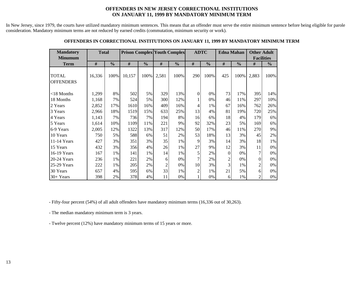#### **OFFENDERS IN NEW JERSEY CORRECTIONAL INSTITUTIONS ON JANUARY 11, 1999 BY MANDATORY MINIMUM TERM**

In New Jersey, since 1979, the courts have utilized mandatory minimum sentences. This means that an offender must serve the entire minimum sentence before being eligible for parole consideration. Mandatory minimum terms are not reduced by earned credits (commutation, minimum security or work).

| <b>Mandatory</b><br><b>Minumum</b> | <b>Total</b> |               | <b>Prison Complex Youth Complex</b> |               |                |               | <b>ADTC</b>    |               | <b>Edna Mahan</b> |               | <b>Other Adult</b><br><b>Facilities</b> |               |
|------------------------------------|--------------|---------------|-------------------------------------|---------------|----------------|---------------|----------------|---------------|-------------------|---------------|-----------------------------------------|---------------|
| <b>Term</b>                        | #            | $\frac{0}{0}$ | #                                   | $\frac{0}{0}$ | $\#$           | $\frac{0}{0}$ | $\#$           | $\frac{6}{6}$ | $\#$              | $\frac{0}{0}$ | #                                       | $\frac{0}{0}$ |
| <b>TOTAL</b><br><b>OFFENDERS</b>   | 16,336       | 100%          | 10,157                              | 100%          | 2,581          | 100%          | 290            | 100%          | 425               | 100%          | 2,883                                   | 100%          |
| $<$ 18 Months                      | 1,299        | 8%            | 502                                 | 5%            | 329            | 13%           | $\mathbf{0}$   | 0%            | 73                | 17%           | 395                                     | 14%           |
| 18 Months                          | 1,168        | 7%            | 524                                 | 5%            | 300            | 12%           |                | 0%            | 46                | 11%           | 297                                     | 10%           |
| 2 Years                            | 2,852        | 17%           | 1610                                | 16%           | 409            | 16%           | 4              | 1%            | 67                | 16%           | 762                                     | 26%           |
| 3 Years                            | 2,966        | 18%           | 1519                                | 15%           | 633            | 25%           | 13             | 4%            | 81                | 19%           | 720                                     | 25%           |
| 4 Years                            | 1,143        | 7%            | 736                                 | 7%            | 194            | 8%            | 16             | 6%            | 18                | 4%            | 179                                     | 6%            |
| 5 Years                            | 1,614        | 10%           | 1109                                | 11%           | 221            | 9%            | 92             | 32%           | 23                | 5%            | 169                                     | 6%            |
| 6-9 Years                          | 2,005        | 12%           | 1322                                | 13%           | 317            | 12%           | 50             | 17%           | 46                | 11%           | 270                                     | 9%            |
| 10 Years                           | 750          | 5%            | 588                                 | 6%            | 51             | 2%            | 53             | 18%           | 13                | 3%            | 45                                      | 2%            |
| 11-14 Years                        | 427          | 3%            | 351                                 | 3%            | 35             | 1%            | 9              | 3%            | 14                | 3%            | 18                                      | 1%            |
| 15 Years                           | 432          | 3%            | 356                                 | 4%            | 26             | 1%            | 27             | 9%            | 12                | 3%            | 11                                      | 0%            |
| 16-19 Years                        | 167          | 1%            | 141                                 | 1%            | 14             | 1%            | 5              | 2%            | $\overline{0}$    | 0%            | 7                                       | 0%            |
| 20-24 Years                        | 236          | 1%            | 221                                 | 2%            | 6              | 0%            | 7              | 2%            | $\overline{2}$    | 0%            | $\mathbf{0}$                            | 0%            |
| 25-29 Years                        | 222          | 1%            | 205                                 | 2%            | $\overline{c}$ | 0%            | 10             | 3%            | 3                 | 1%            | $\overline{c}$                          | 0%            |
| 30 Years                           | 657          | 4%            | 595                                 | 6%            | 33             | 1%            | $\overline{c}$ | 1%            | 21                | 5%            | 6                                       | 0%            |
| 30+ Years                          | 398          | 2%            | 378                                 | 4%            | 11             | 0%            |                | 0%            | 6                 | 1%            | 2                                       | 0%            |

#### **OFFENDERS IN CORRECTIONAL INSTITUTIONS ON JANUARY 11, 1999 BY MANDATORY MINIMUM TERM**

- Fifty-four percent (54%) of all adult offenders have mandatory minimum terms (16,336 out of 30,263).

- The median mandatory minimum term is 3 years.

- Twelve percent (12%) have mandatory minimum terms of 15 years or more.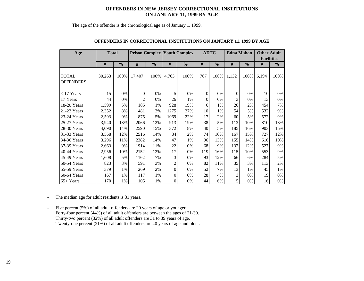#### **OFFENDERS IN NEW JERSEY CORRECTIONAL INSTITUTIONS ON JANUARY 11, 1999 BY AGE**

The age of the offender is the chronological age as of January 1, 1999.

| Age                              | <b>Total</b> |               | <b>Prison Complex Youth Complex</b> |       |                    |      | <b>ADTC</b>        |      | <b>Edna Mahan</b> |               | <b>Other Adult</b><br><b>Facilities</b> |               |
|----------------------------------|--------------|---------------|-------------------------------------|-------|--------------------|------|--------------------|------|-------------------|---------------|-----------------------------------------|---------------|
|                                  | #            | $\frac{0}{0}$ | #<br>$\frac{0}{0}$                  |       | #<br>$\frac{0}{0}$ |      | #<br>$\frac{0}{0}$ |      | #                 | $\frac{0}{0}$ | #                                       | $\frac{0}{0}$ |
|                                  |              |               |                                     |       |                    |      |                    |      |                   |               |                                         |               |
| <b>TOTAL</b><br><b>OFFENDERS</b> | 30,263       | 100%          | 17,407                              | 100%  | 4,763              | 100% | 767                | 100% | 1,132             | 100%          | 6,194                                   | 100%          |
|                                  |              |               |                                     |       |                    |      |                    |      |                   |               |                                         |               |
| $<$ 17 Years                     | 15           | 0%            | 0                                   | 0%    | 5                  | 0%   | $\mathbf{0}$       | 0%   | $\overline{0}$    | 0%            | 10                                      | 0%            |
| 17 Years                         | 44           | 0%            | 2                                   | $0\%$ | 26                 | 1%   | $\theta$           | 0%   | 3                 | $0\%$         | 13                                      | 0%            |
| 18-20 Years                      | 1,599        | 5%            | 185                                 | 1%    | 928                | 19%  | 6                  | 1%   | 26                | 2%            | 454                                     | 7%            |
| 21-22 Years                      | 2,352        | 8%            | 481                                 | 3%    | 1275               | 27%  | 10                 | 1%   | 54                | 5%            | 532                                     | 9%            |
| 23-24 Years                      | 2,593        | 9%            | 875                                 | 5%    | 1069               | 22%  | 17                 | 2%   | 60                | 5%            | 572                                     | 9%            |
| 25-27 Years                      | 3,940        | 13%           | 2066                                | 12%   | 913                | 19%  | 38                 | 5%   | 113               | 10%           | 810                                     | 13%           |
| 28-30 Years                      | 4,090        | 14%           | 2590                                | 15%   | 372                | 8%   | 40                 | 5%   | 185               | 16%           | 903                                     | 15%           |
| 31-33 Years                      | 3,568        | 12%           | 2516                                | 14%   | 84                 | 2%   | 74                 | 10%  | 167               | 15%           | 727                                     | 12%           |
| 34-36 Years                      | 3,296        | 11%           | 2382                                | 14%   | 47                 | 1%   | 96                 | 13%  | 155               | 14%           | 616                                     | 10%           |
| 37-39 Years                      | 2,663        | 9%            | 1914                                | 11%   | 22                 | 0%   | 68                 | 9%   | 132               | 12%           | 527                                     | 9%            |
| 40-44 Years                      | 2,956        | 10%           | 2152                                | 12%   | 17                 | 0%   | 119                | 16%  | 115               | 10%           | 553                                     | 9%            |
| 45-49 Years                      | 1,608        | 5%            | 1162                                | 7%    | 3                  | 0%   | 93                 | 12%  | 66                | 6%            | 284                                     | 5%            |
| 50-54 Years                      | 823          | 3%            | 591                                 | 3%    | $\overline{c}$     | 0%   | 82                 | 11%  | 35                | 3%            | 113                                     | 2%            |
| 55-59 Years                      | 379          | 1%            | 269                                 | 2%    | $\overline{0}$     | 0%   | 52                 | 7%   | 13                | 1%            | 45                                      | 1%            |
| $60-64$ Years                    | 167          | 1%            | 117                                 | 1%    | $\theta$           | 0%   | 28                 | 4%   | 3                 | $0\%$         | 19                                      | 0%            |
| $65+Years$                       | 170          | 1%            | 105                                 | 1%    | $\theta$           | 0%   | 44                 | 6%   | 5                 | $0\%$         | 16                                      | 0%            |

#### **OFFENDERS IN CORRECTIONAL INSTITUTIONS ON JANUARY 11, 1999 BY AGE**

- The median age for adult residents is 31 years.

- Five percent (5%) of all adult offenders are 20 years of age or younger. Forty-four percent (44%) of all adult offenders are between the ages of 21-30. Thirty-two percent (32%) of all adult offenders are 31 to 39 years of age. Twenty-one percent (21%) of all adult offenders are 40 years of age and older.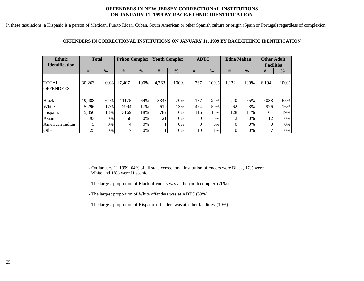#### **OFFENDERS IN NEW JERSEY CORRECTIONAL INSTITUTIONS ON JANUARY 11, 1999 BY RACE/ETHNIC IDENTIFICATION**

In these tabulations, a Hispanic is a person of Mexican, Puerto Rican, Cuban, South American or other Spanish culture or origin (Spain or Portugal) regardless of complexion.

| <b>Ethnic</b><br><b>Identification</b> | <b>Total</b> |               | <b>Prison Complex</b> |               | <b>Youth Complex</b> |               | <b>ADTC</b> |               | <b>Edna Mahan</b> |               | <b>Other Adult</b><br><b>Facilities</b> |               |
|----------------------------------------|--------------|---------------|-----------------------|---------------|----------------------|---------------|-------------|---------------|-------------------|---------------|-----------------------------------------|---------------|
|                                        | #            | $\frac{0}{0}$ | #                     | $\frac{0}{0}$ | #                    | $\frac{0}{0}$ | #           | $\frac{0}{0}$ | #                 | $\frac{0}{0}$ | #                                       | $\frac{0}{0}$ |
| TOTAL<br><b>OFFENDERS</b>              | 30,263       | 100\%         | 17,407                | 100%          | 4,763                | 100%          | 767         | 100%          | 1,132             | 100%          | 6,194                                   | 100%          |
| <b>Black</b>                           | 19,488       | 64%           | 11175                 | 64%           | 3348                 | 70%           | 187         | 24%           | 740               | 65%           | 4038                                    | 65%           |
| White                                  | 5,296        | 17%           | 2994                  | 17%           | 610                  | 13%           | 454         | 59%           | 262               | 23%           | 976                                     | 16%           |
| Hispanic                               | 5,356        | 18%           | 3169                  | 18%           | 782                  | 16%           | 116         | 15%           | 128               | 11%           | 1161                                    | 19%           |
| Asian                                  | 93           | 0%            | 58                    | $0\%$         | 21                   | $0\%$         |             | 0%            | ◠                 | $0\%$         | 12                                      | $0\%$         |
| American Indian                        |              | $0\%$         | 4                     | $0\%$         |                      | $0\%$         |             | 0%            | 0                 | $0\%$         |                                         | $0\%$         |
| Other                                  | 25           | 0%            | ⇁                     | 0%            |                      | $0\%$         | 10          | 1%            |                   | 0%            |                                         | $0\%$         |

#### **OFFENDERS IN CORRECTIONAL INSTITUTIONS ON JANUARY 11, 1999 BY RACE/ETHNIC IDENTIFICATION**

**-** On January 11,1999, 64% of all state correctional institution offenders were Black, 17% were White and 18% were Hispanic.

- The largest proportion of Black offenders was at the youth complex (70%).
- The largest proportion of White offenders was at ADTC (59%).
- The largest proportion of Hispanic offenders was at 'other facilities' (19%).